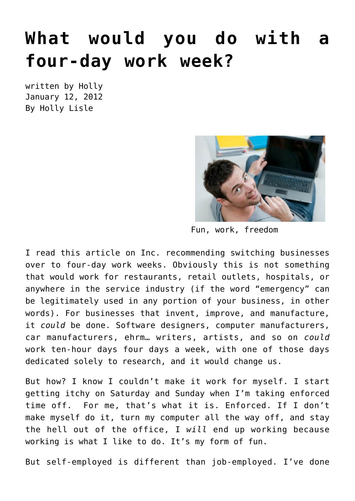## **[What would you do with a](https://hollylisle.com/what-would-you-do-with-a-four-day-work-week/) [four-day work week?](https://hollylisle.com/what-would-you-do-with-a-four-day-work-week/)**

written by Holly January 12, 2012 [By Holly Lisle](https://hollylisle.com)



Fun, work, freedom

I read this [article on Inc. recommending switching businesses](http://www.inc.com/jay-love/the-case-for-a-four-day-work-week.html) [over to four-day work weeks.](http://www.inc.com/jay-love/the-case-for-a-four-day-work-week.html) Obviously this is not something that would work for restaurants, retail outlets, hospitals, or anywhere in the service industry (if the word "emergency" can be legitimately used in any portion of your business, in other words). For businesses that invent, improve, and manufacture, it *could* be done. Software designers, computer manufacturers, car manufacturers, ehrm… writers, artists, and so on *could* work ten-hour days four days a week, with one of those days dedicated solely to research, and it would change us.

But how? I know I couldn't make it work for myself. I start getting itchy on Saturday and Sunday when I'm taking enforced time off. For me, that's what it is. Enforced. If I don't make myself do it, turn my computer all the way off, and stay the hell out of the office, I *will* end up working because working is what I like to do. It's my form of fun.

But self-employed is different than job-employed. I've done